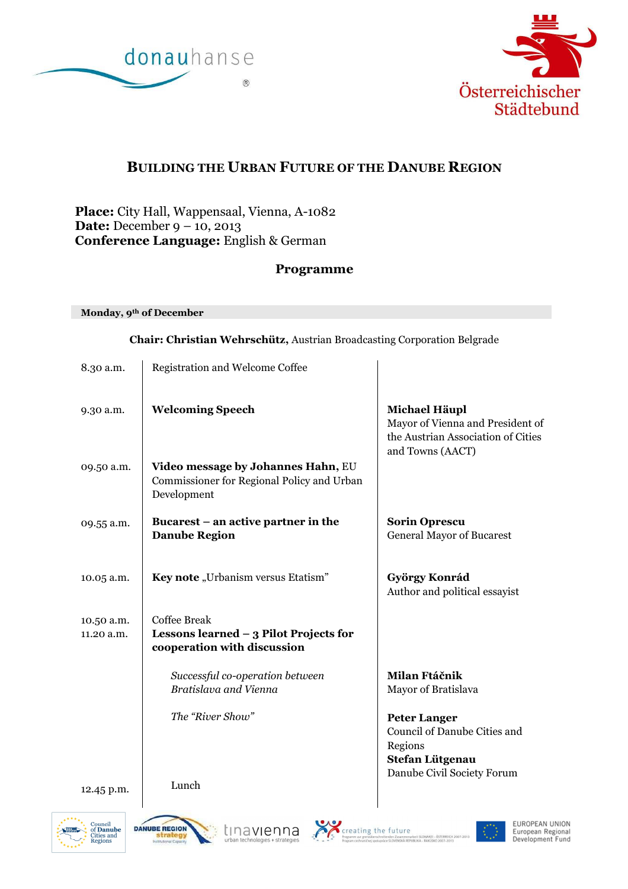



## **BUILDING THE URBAN FUTURE OF THE DANUBE REGION**

**Place:** City Hall, Wappensaal, Vienna, A-1082 **Date:** December 9 – 10, 2013 **Conference Language:** English & German

### **Programme**

**Monday, 9th of December** 

**Chair: Christian Wehrschütz,** Austrian Broadcasting Corporation Belgrade

| 8.30 a.m.  | <b>Registration and Welcome Coffee</b>                                                          |                                                                                                                    |
|------------|-------------------------------------------------------------------------------------------------|--------------------------------------------------------------------------------------------------------------------|
| 9.30 a.m.  | <b>Welcoming Speech</b>                                                                         | <b>Michael Häupl</b><br>Mayor of Vienna and President of<br>the Austrian Association of Cities<br>and Towns (AACT) |
| 09.50 a.m. | Video message by Johannes Hahn, EU<br>Commissioner for Regional Policy and Urban<br>Development |                                                                                                                    |
| 09.55 a.m. | Bucarest – an active partner in the                                                             | <b>Sorin Oprescu</b>                                                                                               |
|            | <b>Danube Region</b>                                                                            | <b>General Mayor of Bucarest</b>                                                                                   |
| 10.05 a.m. | Key note "Urbanism versus Etatism"                                                              | György Konrád<br>Author and political essayist                                                                     |
| 10.50 a.m. | Coffee Break                                                                                    |                                                                                                                    |
| 11.20 a.m. | Lessons learned - 3 Pilot Projects for<br>cooperation with discussion                           |                                                                                                                    |
|            | Successful co-operation between                                                                 | Milan Ftáčnik                                                                                                      |
|            | Bratislava and Vienna                                                                           | Mayor of Bratislava                                                                                                |
|            | The "River Show"                                                                                | <b>Peter Langer</b><br>Council of Danube Cities and<br>Regions<br>Stefan Lütgenau<br>Danube Civil Society Forum    |
| 12.45 p.m. | Lunch                                                                                           |                                                                                                                    |









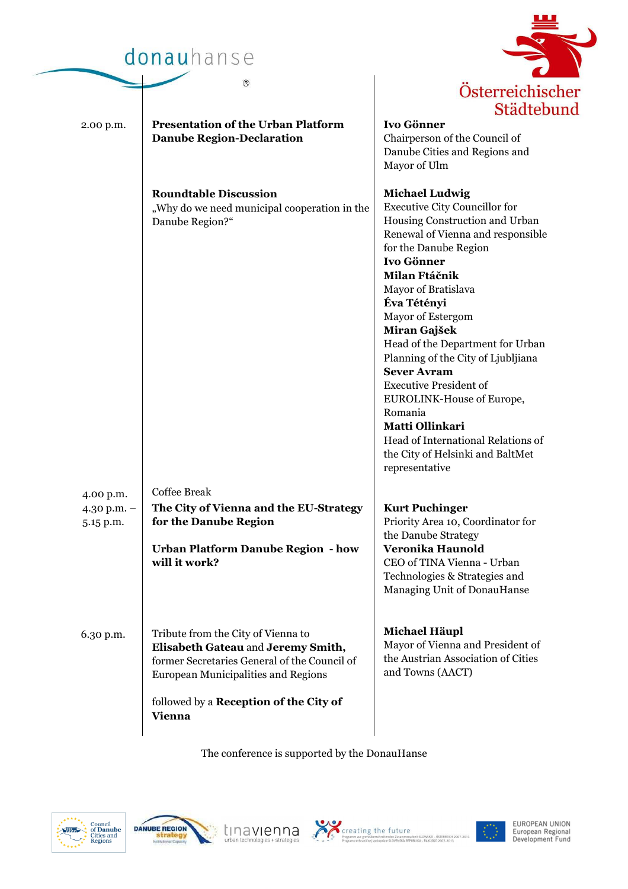## donauhanse

 $^\circledR$ 



|                                         |                                                                                                                                                                                                                            | Städteb                                                                                                                                                                                                                                                                                                                                                                                                                                                                                                                                                         |
|-----------------------------------------|----------------------------------------------------------------------------------------------------------------------------------------------------------------------------------------------------------------------------|-----------------------------------------------------------------------------------------------------------------------------------------------------------------------------------------------------------------------------------------------------------------------------------------------------------------------------------------------------------------------------------------------------------------------------------------------------------------------------------------------------------------------------------------------------------------|
| 2.00 p.m.                               | <b>Presentation of the Urban Platform</b><br><b>Danube Region-Declaration</b>                                                                                                                                              | Ivo Gönner<br>Chairperson of the Council of<br>Danube Cities and Regions and<br>Mayor of Ulm                                                                                                                                                                                                                                                                                                                                                                                                                                                                    |
|                                         | <b>Roundtable Discussion</b><br>"Why do we need municipal cooperation in the<br>Danube Region?"                                                                                                                            | <b>Michael Ludwig</b><br><b>Executive City Councillor for</b><br>Housing Construction and Urban<br>Renewal of Vienna and responsible<br>for the Danube Region<br>Ivo Gönner<br>Milan Ftáčnik<br>Mayor of Bratislava<br>Éva Tétényi<br>Mayor of Estergom<br>Miran Gajšek<br>Head of the Department for Urban<br>Planning of the City of Ljubljiana<br><b>Sever Avram</b><br><b>Executive President of</b><br>EUROLINK-House of Europe,<br>Romania<br>Matti Ollinkari<br>Head of International Relations of<br>the City of Helsinki and BaltMet<br>representative |
| 4.00 p.m.<br>4.30 p.m. $-$<br>5.15 p.m. | <b>Coffee Break</b><br>The City of Vienna and the EU-Strategy<br>for the Danube Region<br><b>Urban Platform Danube Region - how</b><br>will it work?                                                                       | <b>Kurt Puchinger</b><br>Priority Area 10, Coordinator for<br>the Danube Strategy<br>Veronika Haunold<br>CEO of TINA Vienna - Urban<br>Technologies & Strategies and<br>Managing Unit of DonauHanse                                                                                                                                                                                                                                                                                                                                                             |
| 6.30 p.m.                               | Tribute from the City of Vienna to<br>Elisabeth Gateau and Jeremy Smith,<br>former Secretaries General of the Council of<br>European Municipalities and Regions<br>followed by a Reception of the City of<br><b>Vienna</b> | <b>Michael Häupl</b><br>Mayor of Vienna and President of<br>the Austrian Association of Cities<br>and Towns (AACT)                                                                                                                                                                                                                                                                                                                                                                                                                                              |

The conference is supported by the DonauHanse









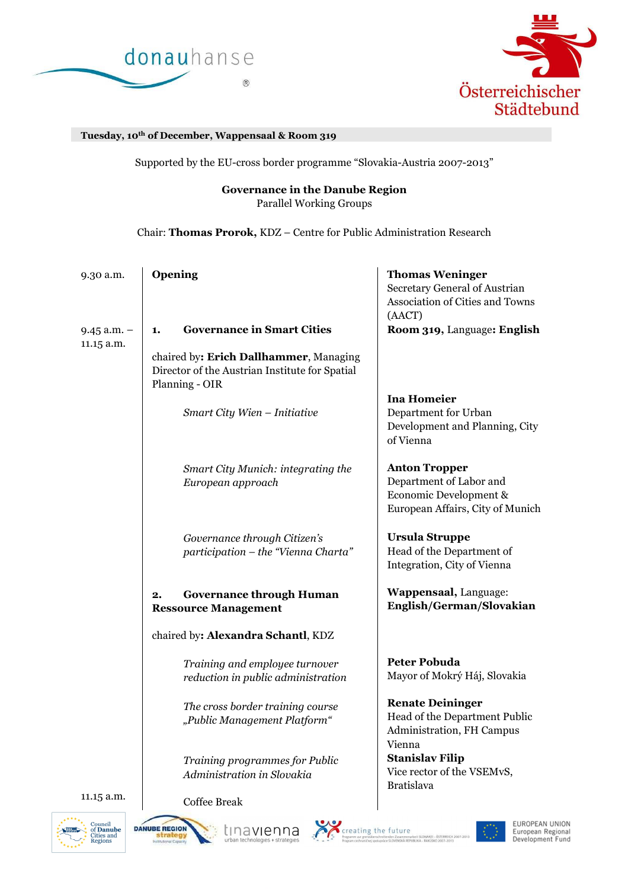



#### **Tuesday, 10th of December, Wappensaal & Room 319**

Supported by the EU-cross border programme "Slovakia-Austria 2007-2013"

#### **Governance in the Danube Region**  Parallel Working Groups

Chair: **Thomas Prorok,** KDZ – Centre for Public Administration Research

| 9.30 a.m.                     | Opening                            |                                                                                                            | <b>Thomas Weninger</b><br>Secretary General of Austrian<br><b>Association of Cities and Towns</b><br>(AACT)   |  |  |  |  |
|-------------------------------|------------------------------------|------------------------------------------------------------------------------------------------------------|---------------------------------------------------------------------------------------------------------------|--|--|--|--|
| $9.45$ a.m. $-$<br>11.15 a.m. | 1.                                 | <b>Governance in Smart Cities</b>                                                                          | Room 319, Language: English                                                                                   |  |  |  |  |
|                               |                                    | chaired by: Erich Dallhammer, Managing<br>Director of the Austrian Institute for Spatial<br>Planning - OIR |                                                                                                               |  |  |  |  |
|                               |                                    | Smart City Wien - Initiative                                                                               | <b>Ina Homeier</b><br>Department for Urban<br>Development and Planning, City<br>of Vienna                     |  |  |  |  |
|                               |                                    | <b>Smart City Munich: integrating the</b><br>European approach                                             | <b>Anton Tropper</b><br>Department of Labor and<br>Economic Development &<br>European Affairs, City of Munich |  |  |  |  |
|                               |                                    | Governance through Citizen's<br>participation - the "Vienna Charta"                                        | <b>Ursula Struppe</b><br>Head of the Department of<br>Integration, City of Vienna                             |  |  |  |  |
|                               | 2.                                 | <b>Governance through Human</b><br><b>Ressource Management</b>                                             | <b>Wappensaal</b> , Language:<br>English/German/Slovakian                                                     |  |  |  |  |
|                               | chaired by: Alexandra Schantl, KDZ |                                                                                                            |                                                                                                               |  |  |  |  |
|                               |                                    | Training and employee turnover<br>reduction in public administration                                       | <b>Peter Pobuda</b><br>Mayor of Mokrý Háj, Slovakia                                                           |  |  |  |  |
|                               |                                    | The cross border training course<br>"Public Management Platform"                                           | <b>Renate Deininger</b><br>Head of the Department Public<br>Administration, FH Campus<br>Vienna               |  |  |  |  |
|                               |                                    | Training programmes for Public<br>Administration in Slovakia                                               | <b>Stanislav Filip</b><br>Vice rector of the VSEMvS,<br><b>Bratislava</b>                                     |  |  |  |  |
| 11.15 a.m.                    |                                    | <b>Coffee Break</b>                                                                                        |                                                                                                               |  |  |  |  |











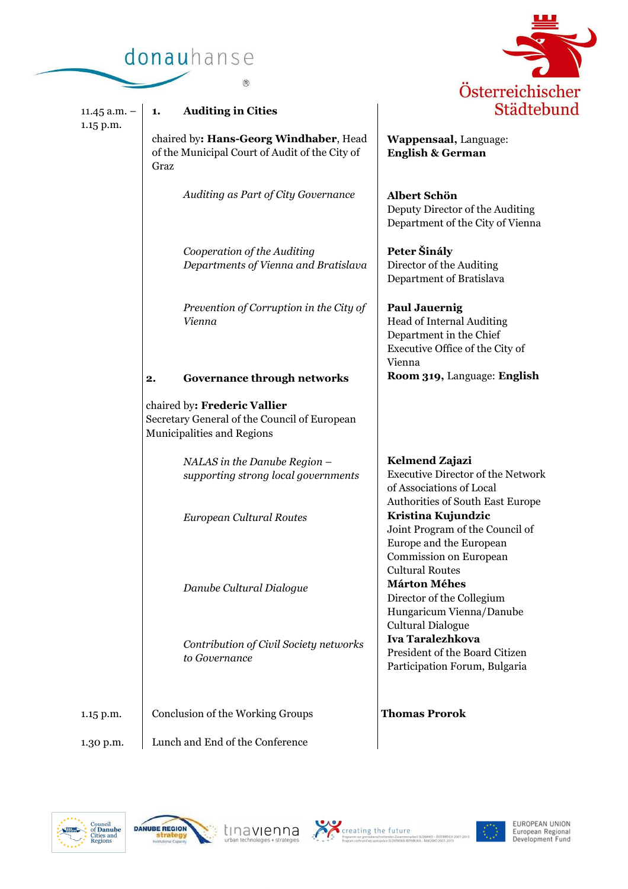# donauhanse

 $^\copyright$ 



| $11.45$ a.m. $-$<br>1.15 p.m. | 1.   | <b>Auditing in Cities</b>                                                                                  | Städteb                                                                                                                           |
|-------------------------------|------|------------------------------------------------------------------------------------------------------------|-----------------------------------------------------------------------------------------------------------------------------------|
|                               | Graz | chaired by: Hans-Georg Windhaber, Head<br>of the Municipal Court of Audit of the City of                   | <b>Wappensaal</b> , Language:<br><b>English &amp; German</b>                                                                      |
|                               |      | Auditing as Part of City Governance                                                                        | <b>Albert Schön</b><br>Deputy Director of the Auditing<br>Department of the City of Vienna                                        |
|                               |      | Cooperation of the Auditing<br>Departments of Vienna and Bratislava                                        | Peter Šinály<br>Director of the Auditing<br>Department of Bratislava                                                              |
|                               |      | Prevention of Corruption in the City of<br>Vienna                                                          | <b>Paul Jauernig</b><br>Head of Internal Auditing<br>Department in the Chief<br>Executive Office of the City of<br>Vienna         |
|                               | 2.   | Governance through networks                                                                                | Room 319, Language: English                                                                                                       |
|                               |      | chaired by: Frederic Vallier<br>Secretary General of the Council of European<br>Municipalities and Regions |                                                                                                                                   |
|                               |      | NALAS in the Danube Region -<br>supporting strong local governments                                        | <b>Kelmend Zajazi</b><br><b>Executive Director of the Network</b><br>of Associations of Local<br>Authorities of South East Europe |
|                               |      | European Cultural Routes                                                                                   | Kristina Kujundzic<br>Joint Program of the Council of<br>Europe and the European<br>Commission on European                        |
|                               |      | Danube Cultural Dialogue                                                                                   | <b>Cultural Routes</b><br><b>Márton Méhes</b><br>Director of the Collegium<br>Hungaricum Vienna/Danube                            |
|                               |      | Contribution of Civil Society networks<br>to Governance                                                    | <b>Cultural Dialogue</b><br>Iva Taralezhkova<br>President of the Board Citizen<br>Participation Forum, Bulgaria                   |
| 1.15 p.m.                     |      | Conclusion of the Working Groups                                                                           | <b>Thomas Prorok</b>                                                                                                              |
| 1.30 p.m.                     |      | Lunch and End of the Conference                                                                            |                                                                                                                                   |